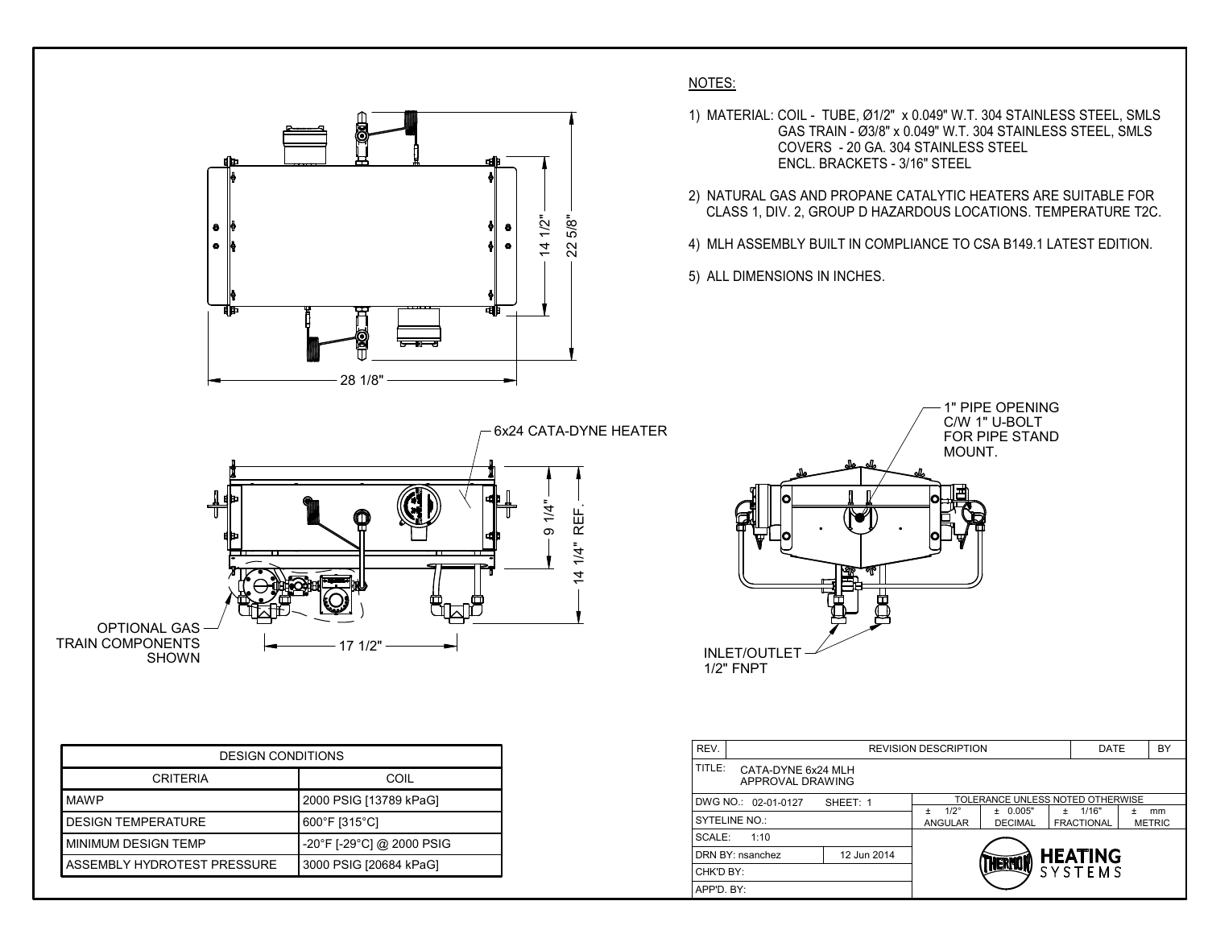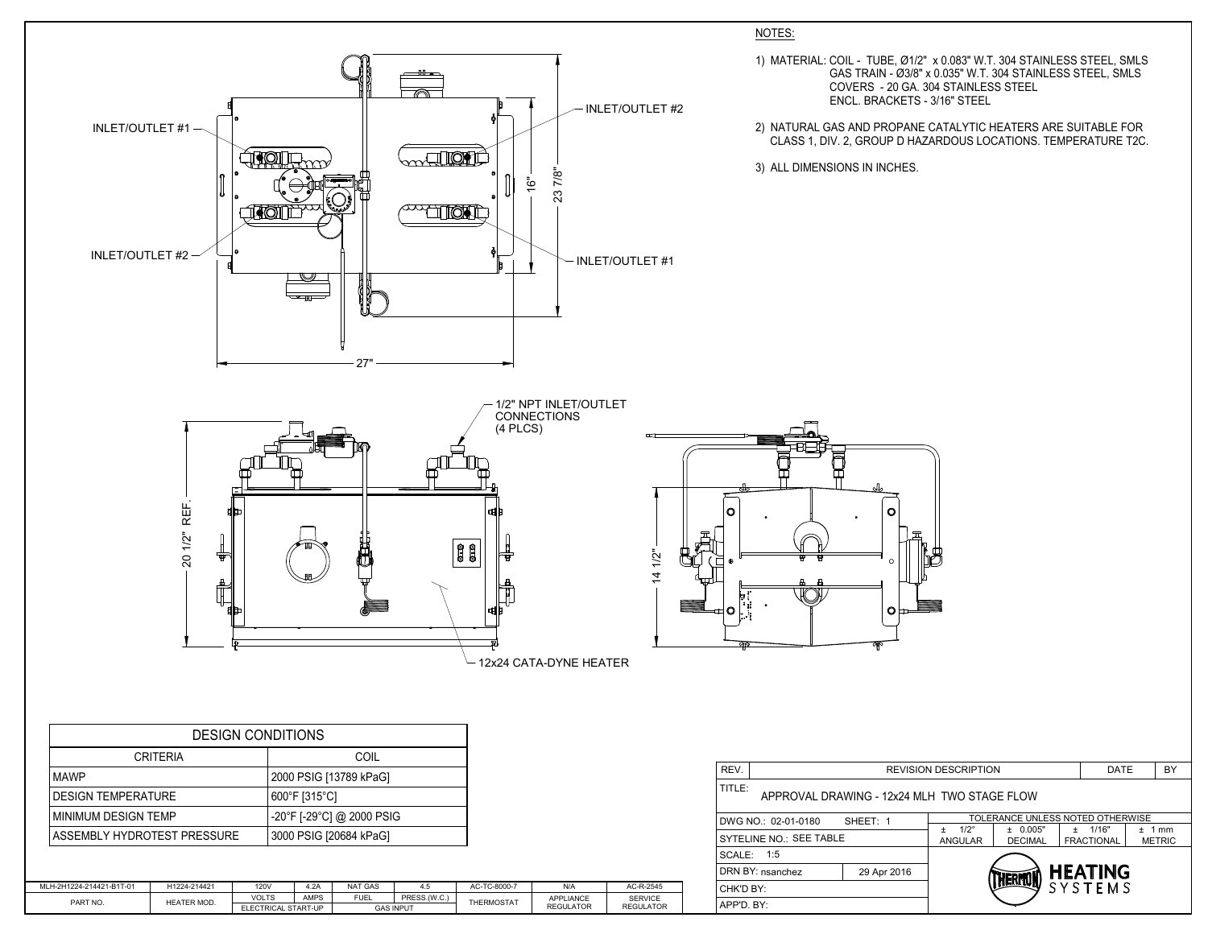| REV.                                                  | <b>REVISION DESCRIPTION</b> |                                    |                                  |                                  |     | BY                    |  |  |
|-------------------------------------------------------|-----------------------------|------------------------------------|----------------------------------|----------------------------------|-----|-----------------------|--|--|
| TITLE:<br>APPROVAL DRAWING - 12x24 MLH TWO STAGE FLOW |                             |                                    |                                  |                                  |     |                       |  |  |
| DWG NO.: 02-01-0180                                   | SHEET: 1                    |                                    | TOLERANCE UNLESS NOTED OTHERWISE |                                  |     |                       |  |  |
| <b>SYTELINE NO.: SEE TABLE</b>                        |                             | $1/2^\circ$<br>+<br><b>ANGULAR</b> | ± 0.005"<br><b>DECIMAL</b>       | $\pm$ 1/16"<br><b>FRACTIONAL</b> | $+$ | 1 mm<br><b>METRIC</b> |  |  |
| <b>SCALE: 1:5</b>                                     |                             |                                    |                                  |                                  |     |                       |  |  |
| DRN BY: nsanchez                                      | 29 Apr 2016                 | <b>HEATING</b><br><b>HERMO</b>     |                                  |                                  |     |                       |  |  |
| CHK'D BY:                                             |                             |                                    |                                  | SYSTEMS                          |     |                       |  |  |
| APP'D. BY:                                            |                             |                                    |                                  |                                  |     |                       |  |  |

| <b>DESIGN CONDITIONS</b>    |                                                |  |  |  |
|-----------------------------|------------------------------------------------|--|--|--|
| <b>CRITERIA</b>             | COIL                                           |  |  |  |
| <b>MAWP</b>                 | 2000 PSIG [13789 kPaG]                         |  |  |  |
| <b>DESIGN TEMPERATURE</b>   | $600^{\circ}$ F [315 $^{\circ}$ C]             |  |  |  |
| <b>MINIMUM DESIGN TEMP</b>  | $-20^{\circ}$ F [-29 $^{\circ}$ C] @ 2000 PSIG |  |  |  |
| ASSEMBLY HYDROTEST PRESSURE | 3000 PSIG [20684 kPaG]                         |  |  |  |

## NOTES:

- 1) MATERIAL: COIL TUBE, Ø1/2" x 0.083" W.T. 304 STAINLESS STEEL, SMLS GAS TRAIN - Ø3/8" x 0.035" W.T. 304 STAINLESS STEEL, SMLS COVERS - 20 GA. 304 STAINLESS STEEL ENCL. BRACKETS - 3/16" STEEL
- 2) NATURAL GAS AND PROPANE CATALYTIC HEATERS ARE SUITABLE FOR CLASS 1, DIV. 2, GROUP D HAZARDOUS LOCATIONS. TEMPERATURE T2C.
- 

| MLH-2H1224-214421-B1T-01 | H1224-214421       | 120V                | 4.2A | <b>NAT GAS</b>   | 4.5          | AC-TC-8000-7      | N/A              | AC-R-2545        |
|--------------------------|--------------------|---------------------|------|------------------|--------------|-------------------|------------------|------------------|
| PART NO.                 | <b>HEATER MOD.</b> | <b>VOLTS</b>        | AMPS | <b>FUEL</b>      | PRESS.(W.C.) | <b>THERMOSTAT</b> | <b>APPLIANCE</b> | <b>SERVICE</b>   |
|                          |                    | ELECTRICAL START-UP |      | <b>GAS INPUT</b> |              |                   | <b>REGULATOR</b> | <b>REGULATOR</b> |
|                          |                    |                     |      |                  |              |                   |                  |                  |